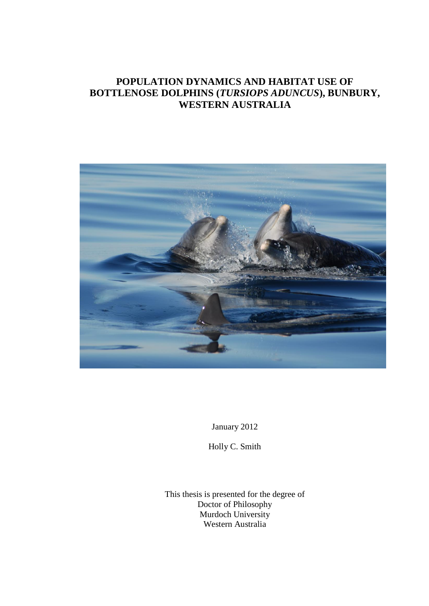## **POPULATION DYNAMICS AND HABITAT USE OF BOTTLENOSE DOLPHINS (***TURSIOPS ADUNCUS***), BUNBURY, WESTERN AUSTRALIA**



January 2012

Holly C. Smith

This thesis is presented for the degree of Doctor of Philosophy Murdoch University Western Australia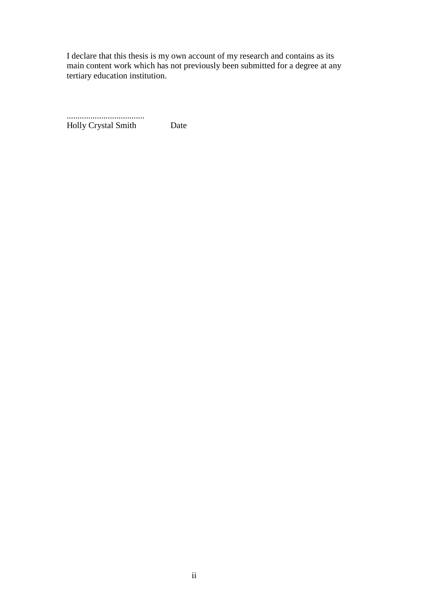I declare that this thesis is my own account of my research and contains as its main content work which has not previously been submitted for a degree at any tertiary education institution.

 .................................... Holly Crystal Smith Date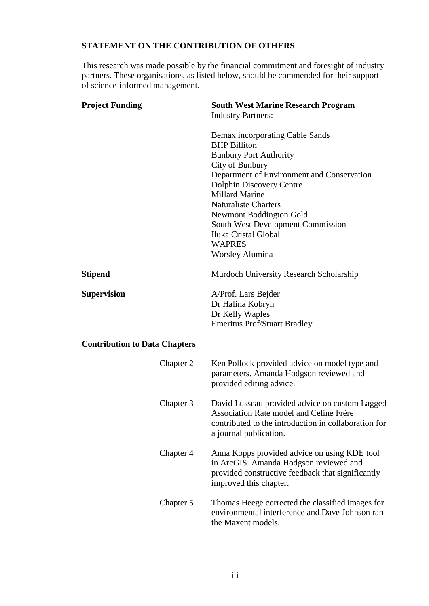### **STATEMENT ON THE CONTRIBUTION OF OTHERS**

This research was made possible by the financial commitment and foresight of industry partners. These organisations, as listed below, should be commended for their support of science-informed management.

| <b>Project Funding</b>               | <b>South West Marine Research Program</b><br><b>Industry Partners:</b>                                                                                                      |
|--------------------------------------|-----------------------------------------------------------------------------------------------------------------------------------------------------------------------------|
|                                      | Bemax incorporating Cable Sands<br><b>BHP</b> Billiton<br><b>Bunbury Port Authority</b>                                                                                     |
|                                      | City of Bunbury                                                                                                                                                             |
|                                      | Department of Environment and Conservation                                                                                                                                  |
|                                      | <b>Dolphin Discovery Centre</b>                                                                                                                                             |
|                                      | <b>Millard Marine</b>                                                                                                                                                       |
|                                      | <b>Naturaliste Charters</b>                                                                                                                                                 |
|                                      | <b>Newmont Boddington Gold</b>                                                                                                                                              |
|                                      | <b>South West Development Commission</b><br>Iluka Cristal Global                                                                                                            |
|                                      | <b>WAPRES</b>                                                                                                                                                               |
|                                      | <b>Worsley Alumina</b>                                                                                                                                                      |
|                                      |                                                                                                                                                                             |
| Stipend                              | Murdoch University Research Scholarship                                                                                                                                     |
| Supervision                          | A/Prof. Lars Bejder                                                                                                                                                         |
|                                      | Dr Halina Kobryn                                                                                                                                                            |
|                                      | Dr Kelly Waples                                                                                                                                                             |
|                                      | <b>Emeritus Prof/Stuart Bradley</b>                                                                                                                                         |
| <b>Contribution to Data Chapters</b> |                                                                                                                                                                             |
|                                      |                                                                                                                                                                             |
| Chapter 2                            | Ken Pollock provided advice on model type and<br>parameters. Amanda Hodgson reviewed and<br>provided editing advice.                                                        |
| Chapter 3                            | David Lusseau provided advice on custom Lagged<br>Association Rate model and Celine Frère<br>contributed to the introduction in collaboration for<br>a journal publication. |
| Chapter 4                            | Anna Kopps provided advice on using KDE tool<br>in ArcGIS. Amanda Hodgson reviewed and<br>provided constructive feedback that significantly<br>improved this chapter.       |
| Chapter 5                            | Thomas Heege corrected the classified images for<br>environmental interference and Dave Johnson ran<br>the Maxent models.                                                   |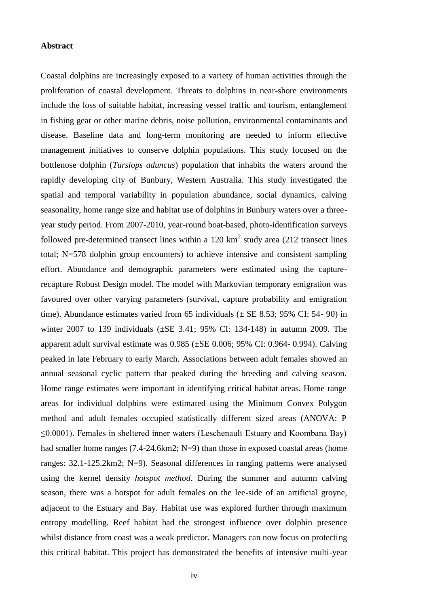#### **Abstract**

Coastal dolphins are increasingly exposed to a variety of human activities through the proliferation of coastal development. Threats to dolphins in near-shore environments include the loss of suitable habitat, increasing vessel traffic and tourism, entanglement in fishing gear or other marine debris, noise pollution, environmental contaminants and disease. Baseline data and long-term monitoring are needed to inform effective management initiatives to conserve dolphin populations. This study focused on the bottlenose dolphin (*Tursiops aduncus*) population that inhabits the waters around the rapidly developing city of Bunbury, Western Australia. This study investigated the spatial and temporal variability in population abundance, social dynamics, calving seasonality, home range size and habitat use of dolphins in Bunbury waters over a threeyear study period. From 2007-2010, year-round boat-based, photo-identification surveys followed pre-determined transect lines within a  $120 \text{ km}^2$  study area (212 transect lines total; N=578 dolphin group encounters) to achieve intensive and consistent sampling effort. Abundance and demographic parameters were estimated using the capturerecapture Robust Design model. The model with Markovian temporary emigration was favoured over other varying parameters (survival, capture probability and emigration time). Abundance estimates varied from 65 individuals  $(\pm$  SE 8.53; 95% CI: 54- 90) in winter 2007 to 139 individuals (±SE 3.41; 95% CI: 134-148) in autumn 2009. The apparent adult survival estimate was  $0.985$  ( $\pm$ SE 0.006; 95% CI: 0.964- 0.994). Calving peaked in late February to early March. Associations between adult females showed an annual seasonal cyclic pattern that peaked during the breeding and calving season. Home range estimates were important in identifying critical habitat areas. Home range areas for individual dolphins were estimated using the Minimum Convex Polygon method and adult females occupied statistically different sized areas (ANOVA: P ≤0.0001). Females in sheltered inner waters (Leschenault Estuary and Koombana Bay) had smaller home ranges (7.4-24.6km2; N=9) than those in exposed coastal areas (home ranges: 32.1-125.2km2; N=9). Seasonal differences in ranging patterns were analysed using the kernel density *hotspot method*. During the summer and autumn calving season, there was a hotspot for adult females on the lee-side of an artificial groyne, adjacent to the Estuary and Bay. Habitat use was explored further through maximum entropy modelling. Reef habitat had the strongest influence over dolphin presence whilst distance from coast was a weak predictor. Managers can now focus on protecting this critical habitat. This project has demonstrated the benefits of intensive multi-year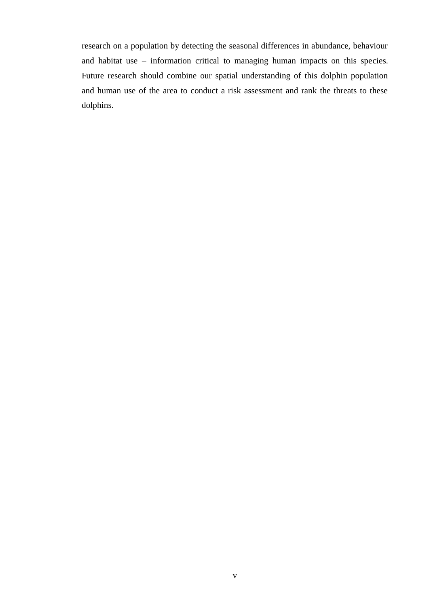research on a population by detecting the seasonal differences in abundance, behaviour and habitat use – information critical to managing human impacts on this species. Future research should combine our spatial understanding of this dolphin population and human use of the area to conduct a risk assessment and rank the threats to these dolphins.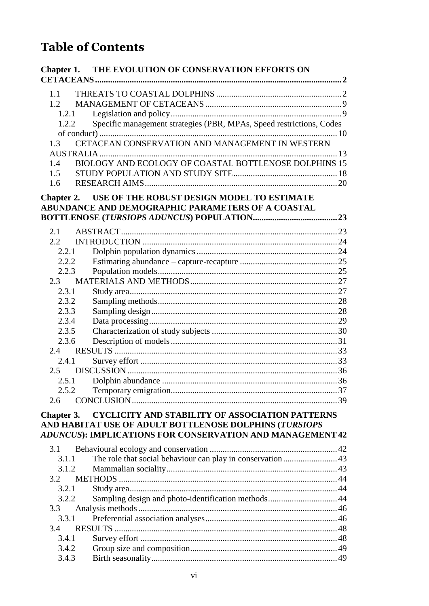# **Table of Contents**

|            | <b>Chapter 1. THE EVOLUTION OF CONSERVATION EFFORTS ON</b>           |  |
|------------|----------------------------------------------------------------------|--|
|            |                                                                      |  |
| 1.1        |                                                                      |  |
| 1.2        |                                                                      |  |
| 1.2.1      |                                                                      |  |
| 1.2.2      | Specific management strategies (PBR, MPAs, Speed restrictions, Codes |  |
|            |                                                                      |  |
| 1.3        | CETACEAN CONSERVATION AND MANAGEMENT IN WESTERN                      |  |
|            |                                                                      |  |
| 1.4        | BIOLOGY AND ECOLOGY OF COASTAL BOTTLENOSE DOLPHINS 15                |  |
| 1.5        |                                                                      |  |
| 1.6        |                                                                      |  |
|            | Chapter 2. USE OF THE ROBUST DESIGN MODEL TO ESTIMATE                |  |
|            | ABUNDANCE AND DEMOGRAPHIC PARAMETERS OF A COASTAL                    |  |
|            |                                                                      |  |
|            |                                                                      |  |
| 2.1        |                                                                      |  |
| 2.2        |                                                                      |  |
| 2.2.1      |                                                                      |  |
| 2.2.2      |                                                                      |  |
| 2.2.3      |                                                                      |  |
| 2.3        |                                                                      |  |
| 2.3.1      |                                                                      |  |
| 2.3.2      |                                                                      |  |
| 2.3.3      |                                                                      |  |
| 2.3.4      |                                                                      |  |
| 2.3.5      |                                                                      |  |
| 2.3.6      |                                                                      |  |
| 2.4        |                                                                      |  |
| 2.4.1      |                                                                      |  |
|            |                                                                      |  |
| 2.5.1      |                                                                      |  |
| 2.5.2      |                                                                      |  |
| 2.6        |                                                                      |  |
| Chapter 3. | <b>CYCLICITY AND STABILITY OF ASSOCIATION PATTERNS</b>               |  |
|            | AND HABITAT USE OF ADULT BOTTLENOSE DOLPHINS (TURSIOPS               |  |
|            | ADUNCUS): IMPLICATIONS FOR CONSERVATION AND MANAGEMENT 42            |  |
| 3.1        |                                                                      |  |
| 3.1.1      | The role that social behaviour can play in conservation 43           |  |
| 3.1.2      |                                                                      |  |
| 3.2        |                                                                      |  |
| 3.2.1      |                                                                      |  |
| 3.2.2      | Sampling design and photo-identification methods 44                  |  |
| 3.3        |                                                                      |  |
| 3.3.1      |                                                                      |  |
| 3.4        |                                                                      |  |
| 3.4.1      |                                                                      |  |
| 3.4.2      |                                                                      |  |
| 3.4.3      |                                                                      |  |
|            |                                                                      |  |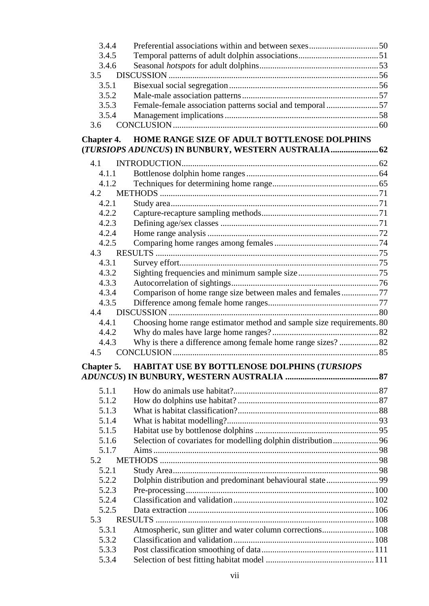| 3.4.4             |                                                                       |  |
|-------------------|-----------------------------------------------------------------------|--|
| 3.4.5             |                                                                       |  |
| 3.4.6             |                                                                       |  |
| 3.5               |                                                                       |  |
| 3.5.1             |                                                                       |  |
| 3.5.2             |                                                                       |  |
| 3.5.3             | Female-female association patterns social and temporal 57             |  |
| 3.5.4             |                                                                       |  |
| 3.6               |                                                                       |  |
| <b>Chapter 4.</b> | HOME RANGE SIZE OF ADULT BOTTLENOSE DOLPHINS                          |  |
|                   | (TURSIOPS ADUNCUS) IN BUNBURY, WESTERN AUSTRALIA 62                   |  |
| 4.1               |                                                                       |  |
| 4.1.1             |                                                                       |  |
| 4.1.2             |                                                                       |  |
| 4.2               |                                                                       |  |
| 4.2.1             |                                                                       |  |
| 4.2.2             |                                                                       |  |
| 4.2.3             |                                                                       |  |
| 4.2.4             |                                                                       |  |
| 4.2.5             |                                                                       |  |
| 4.3               |                                                                       |  |
| 4.3.1             |                                                                       |  |
| 4.3.2             |                                                                       |  |
| 4.3.3             |                                                                       |  |
| 4.3.4             | Comparison of home range size between males and females77             |  |
| 4.3.5             |                                                                       |  |
| 4.4               |                                                                       |  |
| 4.4.1             | Choosing home range estimator method and sample size requirements. 80 |  |
| 4.4.2             |                                                                       |  |
| 4.4.3             |                                                                       |  |
| 4.5               |                                                                       |  |
|                   | HABITAT USE BY BOTTLENOSE DOLPHINS (TURSIOPS                          |  |
| Chapter 5.        |                                                                       |  |
|                   |                                                                       |  |
| 5.1.1             |                                                                       |  |
| 5.1.2             |                                                                       |  |
| 5.1.3             |                                                                       |  |
| 5.1.4             |                                                                       |  |
| 5.1.5             |                                                                       |  |
| 5.1.6             | Selection of covariates for modelling dolphin distribution 96         |  |
| 5.1.7             |                                                                       |  |
| 5.2               |                                                                       |  |
| 5.2.1             |                                                                       |  |
| 5.2.2             | Dolphin distribution and predominant behavioural state99              |  |
| 5.2.3             |                                                                       |  |
| 5.2.4             |                                                                       |  |
| 5.2.5             |                                                                       |  |
| 5.3               | <b>RESULTS</b>                                                        |  |
| 5.3.1             | Atmospheric, sun glitter and water column corrections 108             |  |
| 5.3.2             |                                                                       |  |
| 5.3.3             |                                                                       |  |
| 5.3.4             |                                                                       |  |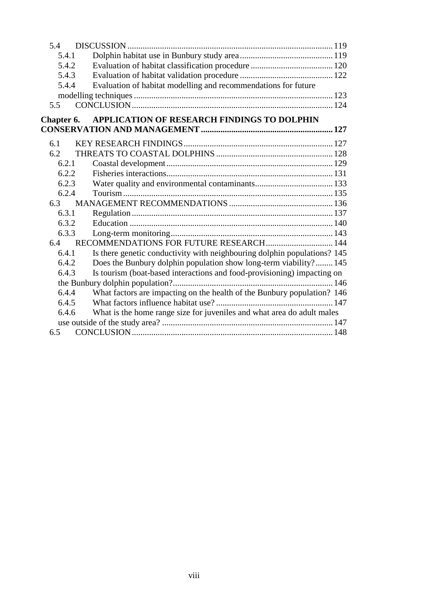| 5.4        |                                                                          |  |
|------------|--------------------------------------------------------------------------|--|
| 5.4.1      |                                                                          |  |
| 5.4.2      |                                                                          |  |
| 5.4.3      |                                                                          |  |
| 5.4.4      | Evaluation of habitat modelling and recommendations for future           |  |
|            |                                                                          |  |
| 5.5        |                                                                          |  |
| Chapter 6. | APPLICATION OF RESEARCH FINDINGS TO DOLPHIN                              |  |
|            |                                                                          |  |
| 6.1        |                                                                          |  |
| 6.2        |                                                                          |  |
| 6.2.1      |                                                                          |  |
| 6.2.2      |                                                                          |  |
| 6.2.3      |                                                                          |  |
| 6.2.4      |                                                                          |  |
| 6.3        |                                                                          |  |
| 6.3.1      |                                                                          |  |
| 6.3.2      |                                                                          |  |
| 6.3.3      |                                                                          |  |
| 6.4        |                                                                          |  |
| 6.4.1      | Is there genetic conductivity with neighbouring dolphin populations? 145 |  |
| 6.4.2      | Does the Bunbury dolphin population show long-term viability? 145        |  |
| 6.4.3      | Is tourism (boat-based interactions and food-provisioning) impacting on  |  |
|            |                                                                          |  |
| 6.4.4      | What factors are impacting on the health of the Bunbury population? 146  |  |
| 6.4.5      |                                                                          |  |
| 6.4.6      | What is the home range size for juveniles and what area do adult males   |  |
|            |                                                                          |  |
| 6.5        |                                                                          |  |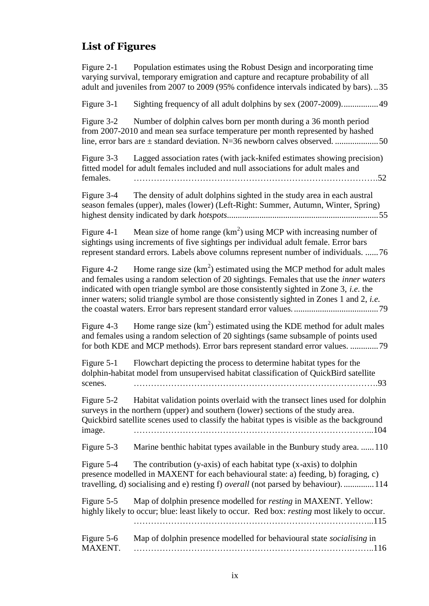## **List of Figures**

Figure 2-1 Population estimates using the Robust Design and incorporating time varying survival, temporary emigration and capture and recapture probability of all adult and juveniles from 2007 to 2009 (95% confidence intervals indicated by bars). ..35

Figure 3-1 Sighting frequency of all adult dolphins by sex (2007-2009).................49

Figure 3-2 Number of dolphin calves born per month during a 36 month period from 2007-2010 and mean sea surface temperature per month represented by hashed line, error bars are ± standard deviation. N=36 newborn calves observed. ....................50

Figure 3-3 Lagged association rates (with jack-knifed estimates showing precision) fitted model for adult females included and null associations for adult males and females. ………………………………………………………………………….52

Figure 3-4 The density of adult dolphins sighted in the study area in each austral season females (upper), males (lower) (Left-Right: Summer, Autumn, Winter, Spring) highest density indicated by dark *hotspots*......................................................................55

Figure 4-1 Mean size of home range  $(km^2)$  using MCP with increasing number of sightings using increments of five sightings per individual adult female. Error bars represent standard errors. Labels above columns represent number of individuals. ......76

Figure 4-2 Home range size  $(km^2)$  estimated using the MCP method for adult males and females using a random selection of 20 sightings. Females that use the *inner waters* indicated with open triangle symbol are those consistently sighted in Zone 3, *i.e.* the inner waters; solid triangle symbol are those consistently sighted in Zones 1 and 2, *i.e.* the coastal waters. Error bars represent standard error values. .......................................79

Figure 4-3 Home range size  $(km^2)$  estimated using the KDE method for adult males and females using a random selection of 20 sightings (same subsample of points used for both KDE and MCP methods). Error bars represent standard error values. .............79

Figure 5-1 Flowchart depicting the process to determine habitat types for the dolphin-habitat model from unsupervised habitat classification of QuickBird satellite scenes. ………………………………………………………………………….93

Figure 5-2 Habitat validation points overlaid with the transect lines used for dolphin surveys in the northern (upper) and southern (lower) sections of the study area. Quickbird satellite scenes used to classify the habitat types is visible as the background image. ………………………………………………………………………...104

Figure 5-3 Marine benthic habitat types available in the Bunbury study area. ......110

Figure  $5-4$  The contribution (y-axis) of each habitat type (x-axis) to dolphin presence modelled in MAXENT for each behavioural state: a) feeding, b) foraging, c) travelling, d) socialising and e) resting f) *overall* (not parsed by behaviour). ..............114

Figure 5-5 Map of dolphin presence modelled for *resting* in MAXENT. Yellow: highly likely to occur; blue: least likely to occur. Red box: *resting* most likely to occur. ………………………………………………………………………...115

| Figure 5-6 | Map of dolphin presence modelled for behavioural state socialising in |
|------------|-----------------------------------------------------------------------|
| MAXENT.    |                                                                       |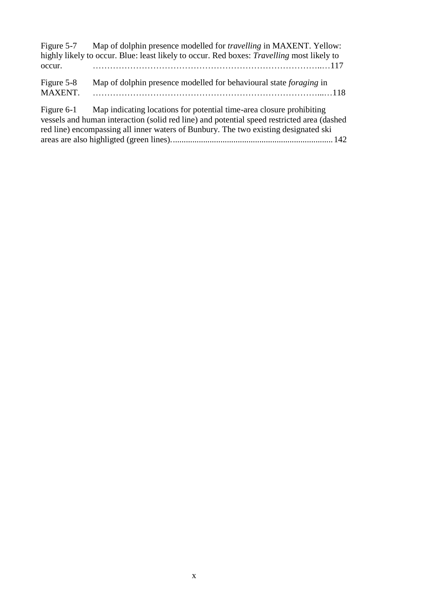|            | Figure 5-7 Map of dolphin presence modelled for <i>travelling</i> in MAXENT. Yellow:             |
|------------|--------------------------------------------------------------------------------------------------|
|            | highly likely to occur. Blue: least likely to occur. Red boxes: <i>Travelling</i> most likely to |
| occur.     |                                                                                                  |
| Figure 5-8 | Map of dolphin presence modelled for behavioural state foraging in                               |
| MAXENT.    |                                                                                                  |
|            | Figure 6-1 Map indicating locations for potential time-area closure prohibiting                  |
|            | vessels and human interaction (solid red line) and potential speed restricted area (dashed       |
|            | red line) encompassing all inner waters of Bunbury. The two existing designated ski              |
|            |                                                                                                  |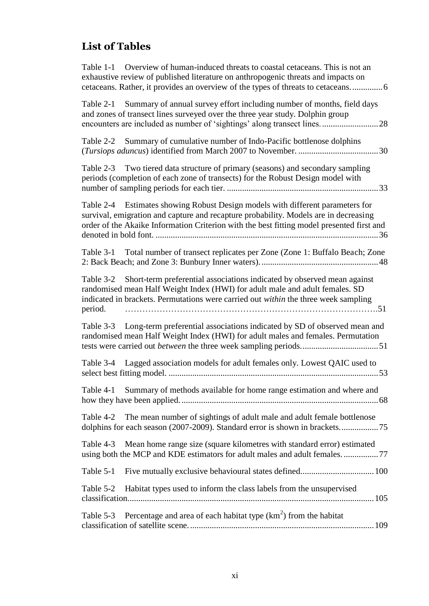# **List of Tables**

| Table 1-1 Overview of human-induced threats to coastal cetaceans. This is not an<br>exhaustive review of published literature on anthropogenic threats and impacts on<br>cetaceans. Rather, it provides an overview of the types of threats to cetaceans 6             |
|------------------------------------------------------------------------------------------------------------------------------------------------------------------------------------------------------------------------------------------------------------------------|
| Summary of annual survey effort including number of months, field days<br>Table 2-1<br>and zones of transect lines surveyed over the three year study. Dolphin group                                                                                                   |
| Summary of cumulative number of Indo-Pacific bottlenose dolphins<br>Table 2-2                                                                                                                                                                                          |
| Two tiered data structure of primary (seasons) and secondary sampling<br>Table 2-3<br>periods (completion of each zone of transects) for the Robust Design model with                                                                                                  |
| Table 2-4 Estimates showing Robust Design models with different parameters for<br>survival, emigration and capture and recapture probability. Models are in decreasing<br>order of the Akaike Information Criterion with the best fitting model presented first and    |
| Total number of transect replicates per Zone (Zone 1: Buffalo Beach; Zone<br>Table 3-1                                                                                                                                                                                 |
| Short-term preferential associations indicated by observed mean against<br>Table 3-2<br>randomised mean Half Weight Index (HWI) for adult male and adult females. SD<br>indicated in brackets. Permutations were carried out within the three week sampling<br>period. |
| Long-term preferential associations indicated by SD of observed mean and<br>Table 3-3<br>randomised mean Half Weight Index (HWI) for adult males and females. Permutation                                                                                              |
| Table 3-4 Lagged association models for adult females only. Lowest QAIC used to                                                                                                                                                                                        |
| Summary of methods available for home range estimation and where and<br>Table 4-1                                                                                                                                                                                      |
| The mean number of sightings of adult male and adult female bottlenose<br>Table 4-2                                                                                                                                                                                    |
| Mean home range size (square kilometres with standard error) estimated<br>Table 4-3<br>using both the MCP and KDE estimators for adult males and adult females77                                                                                                       |
| Table 5-1                                                                                                                                                                                                                                                              |
| Habitat types used to inform the class labels from the unsupervised<br>Table 5-2                                                                                                                                                                                       |
| Percentage and area of each habitat type $(km2)$ from the habitat<br>Table 5-3                                                                                                                                                                                         |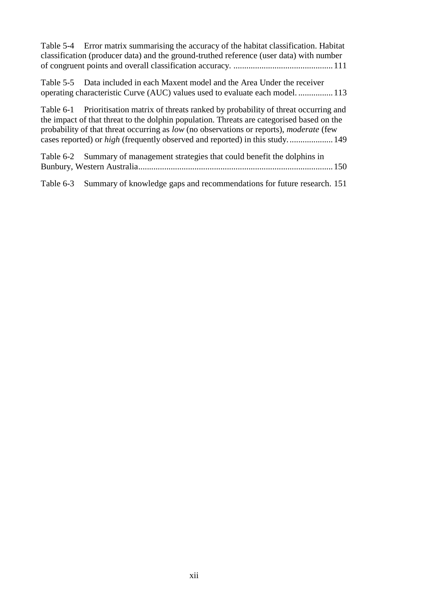| Table 5-4 Error matrix summarising the accuracy of the habitat classification. Habitat<br>classification (producer data) and the ground-truthed reference (user data) with number                                                                                                                                                                                       |
|-------------------------------------------------------------------------------------------------------------------------------------------------------------------------------------------------------------------------------------------------------------------------------------------------------------------------------------------------------------------------|
| Table 5-5 Data included in each Maxent model and the Area Under the receiver<br>operating characteristic Curve (AUC) values used to evaluate each model 113                                                                                                                                                                                                             |
| Table 6-1 Prioritisation matrix of threats ranked by probability of threat occurring and<br>the impact of that threat to the dolphin population. Threats are categorised based on the<br>probability of that threat occurring as low (no observations or reports), moderate (few<br>cases reported) or <i>high</i> (frequently observed and reported) in this study 149 |
| Table 6-2 Summary of management strategies that could benefit the dolphins in                                                                                                                                                                                                                                                                                           |
| Summary of knowledge gaps and recommendations for future research. 151<br>Table 6-3                                                                                                                                                                                                                                                                                     |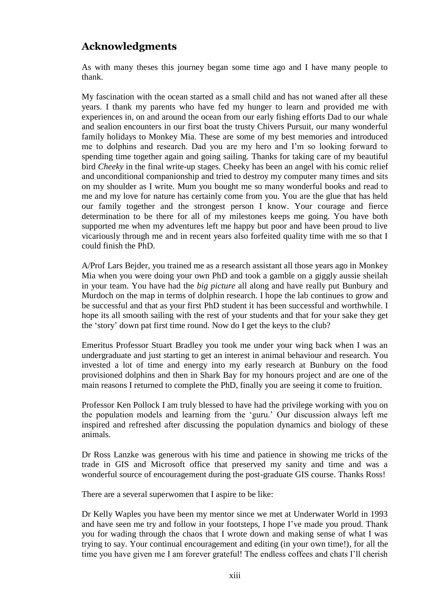## **Acknowledgments**

As with many theses this journey began some time ago and I have many people to thank.

My fascination with the ocean started as a small child and has not waned after all these years. I thank my parents who have fed my hunger to learn and provided me with experiences in, on and around the ocean from our early fishing efforts Dad to our whale and sealion encounters in our first boat the trusty Chivers Pursuit, our many wonderful family holidays to Monkey Mia. These are some of my best memories and introduced me to dolphins and research. Dad you are my hero and I'm so looking forward to spending time together again and going sailing. Thanks for taking care of my beautiful bird *Cheeky* in the final write-up stages. Cheeky has been an angel with his comic relief and unconditional companionship and tried to destroy my computer many times and sits on my shoulder as I write. Mum you bought me so many wonderful books and read to me and my love for nature has certainly come from you. You are the glue that has held our family together and the strongest person I know. Your courage and fierce determination to be there for all of my milestones keeps me going. You have both supported me when my adventures left me happy but poor and have been proud to live vicariously through me and in recent years also forfeited quality time with me so that I could finish the PhD.

A/Prof Lars Bejder, you trained me as a research assistant all those years ago in Monkey Mia when you were doing your own PhD and took a gamble on a giggly aussie sheilah in your team. You have had the *big picture* all along and have really put Bunbury and Murdoch on the map in terms of dolphin research. I hope the lab continues to grow and be successful and that as your first PhD student it has been successful and worthwhile. I hope its all smooth sailing with the rest of your students and that for your sake they get the 'story' down pat first time round. Now do I get the keys to the club?

Emeritus Professor Stuart Bradley you took me under your wing back when I was an undergraduate and just starting to get an interest in animal behaviour and research. You invested a lot of time and energy into my early research at Bunbury on the food provisioned dolphins and then in Shark Bay for my honours project and are one of the main reasons I returned to complete the PhD, finally you are seeing it come to fruition.

Professor Ken Pollock I am truly blessed to have had the privilege working with you on the population models and learning from the 'guru.' Our discussion always left me inspired and refreshed after discussing the population dynamics and biology of these animals.

Dr Ross Lanzke was generous with his time and patience in showing me tricks of the trade in GIS and Microsoft office that preserved my sanity and time and was a wonderful source of encouragement during the post-graduate GIS course. Thanks Ross!

There are a several superwomen that I aspire to be like:

Dr Kelly Waples you have been my mentor since we met at Underwater World in 1993 and have seen me try and follow in your footsteps, I hope I've made you proud. Thank you for wading through the chaos that I wrote down and making sense of what I was trying to say. Your continual encouragement and editing (in your own time!), for all the time you have given me I am forever grateful! The endless coffees and chats I'll cherish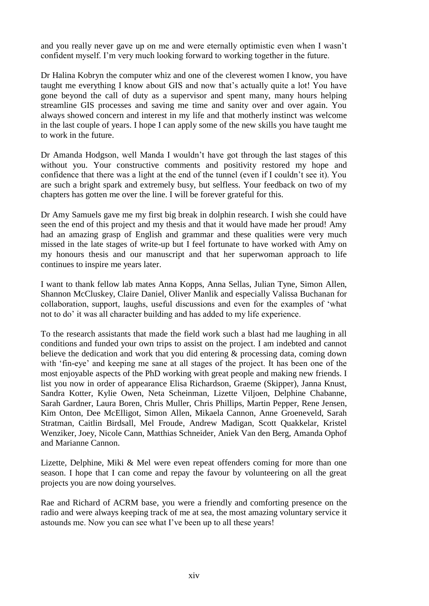and you really never gave up on me and were eternally optimistic even when I wasn't confident myself. I'm very much looking forward to working together in the future.

Dr Halina Kobryn the computer whiz and one of the cleverest women I know, you have taught me everything I know about GIS and now that's actually quite a lot! You have gone beyond the call of duty as a supervisor and spent many, many hours helping streamline GIS processes and saving me time and sanity over and over again. You always showed concern and interest in my life and that motherly instinct was welcome in the last couple of years. I hope I can apply some of the new skills you have taught me to work in the future.

Dr Amanda Hodgson, well Manda I wouldn't have got through the last stages of this without you. Your constructive comments and positivity restored my hope and confidence that there was a light at the end of the tunnel (even if I couldn't see it). You are such a bright spark and extremely busy, but selfless. Your feedback on two of my chapters has gotten me over the line. I will be forever grateful for this.

Dr Amy Samuels gave me my first big break in dolphin research. I wish she could have seen the end of this project and my thesis and that it would have made her proud! Amy had an amazing grasp of English and grammar and these qualities were very much missed in the late stages of write-up but I feel fortunate to have worked with Amy on my honours thesis and our manuscript and that her superwoman approach to life continues to inspire me years later.

I want to thank fellow lab mates Anna Kopps, Anna Sellas, Julian Tyne, Simon Allen, Shannon McCluskey, Claire Daniel, Oliver Manlik and especially Valissa Buchanan for collaboration, support, laughs, useful discussions and even for the examples of 'what not to do' it was all character building and has added to my life experience.

To the research assistants that made the field work such a blast had me laughing in all conditions and funded your own trips to assist on the project. I am indebted and cannot believe the dedication and work that you did entering & processing data, coming down with 'fin-eye' and keeping me sane at all stages of the project. It has been one of the most enjoyable aspects of the PhD working with great people and making new friends. I list you now in order of appearance Elisa Richardson, Graeme (Skipper), Janna Knust, Sandra Kotter, Kylie Owen, Neta Scheinman, Lizette Viljoen, Delphine Chabanne, Sarah Gardner, Laura Boren, Chris Muller, Chris Phillips, Martin Pepper, Rene Jensen, Kim Onton, Dee McElligot, Simon Allen, Mikaela Cannon, Anne Groeneveld, Sarah Stratman, Caitlin Birdsall, Mel Froude, Andrew Madigan, Scott Quakkelar, Kristel Wenziker, Joey, Nicole Cann, Matthias Schneider, Aniek Van den Berg, Amanda Ophof and Marianne Cannon.

Lizette, Delphine, Miki & Mel were even repeat offenders coming for more than one season. I hope that I can come and repay the favour by volunteering on all the great projects you are now doing yourselves.

Rae and Richard of ACRM base, you were a friendly and comforting presence on the radio and were always keeping track of me at sea, the most amazing voluntary service it astounds me. Now you can see what I've been up to all these years!